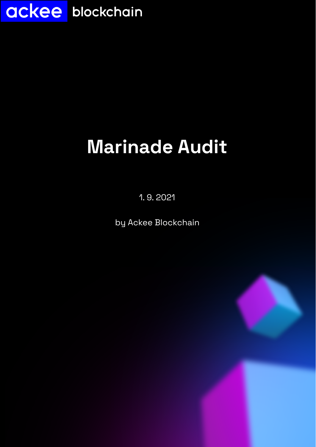

# **Marinade Audit**

1. 9. 2021

by Ackee Blockchain

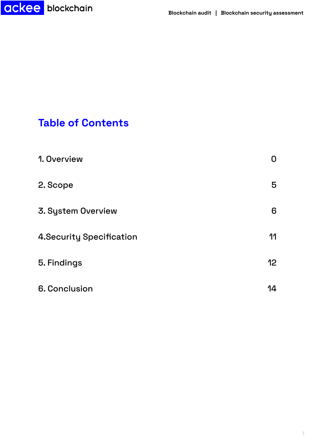

## **Table of Contents**

| 1. Overview               | $\mathbf{U}$    |
|---------------------------|-----------------|
| 2. Scope                  | 5               |
| 3. System Overview        | 6               |
| 4. Security Specification | 11              |
| 5. Findings               | 12 <sub>2</sub> |
| 6. Conclusion             | 14              |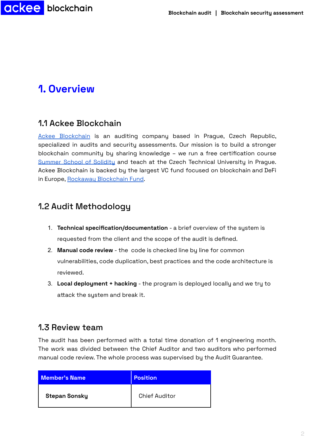

## **1. Overview**

### 1.1 Ackee Blockchain

Ackee [Blockchain](https://ackeeblockchain.com) is an auditing company based in Prague, Czech Republic, specialized in audits and security assessments. Our mission is to build a stronger blockchain community by sharing knowledge – we run a free certification course [Summer](https://www.ackeeblockchain.com/summer-school-of-solidity) School of Solidity and teach at the Czech Technical University in Prague. Ackee Blockchain is backed by the largest VC fund focused on blockchain and DeFi in Europe, Rockaway [Blockchain](https://rbf.capital/) Fund.

### 1.2 Audit Methodology

- 1. **Technical specification/documentation** a brief overview of the system is requested from the client and the scope of the audit is defined.
- 2. **Manual code review** the code is checked line by line for common vulnerabilities, code duplication, best practices and the code architecture is reviewed.
- 3. **Local deployment + hacking** the program is deployed locally and we try to attack the system and break it.

### 1.3 Review team

The audit has been performed with a total time donation of 1 engineering month. The work was divided between the Chief Auditor and two auditors who performed manual code review. The whole process was supervised by the Audit Guarantee.

| Member's Name        | Position             |
|----------------------|----------------------|
| <b>Stepan Sonsky</b> | <b>Chief Auditor</b> |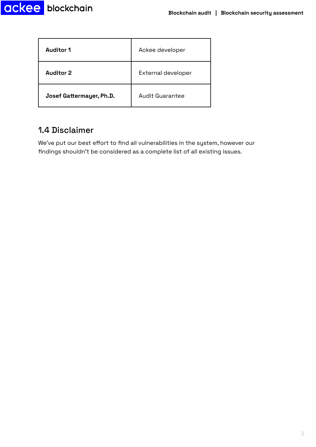

| <b>Auditor 1</b>         | Ackee developer    |  |  |  |
|--------------------------|--------------------|--|--|--|
| <b>Auditor 2</b>         | External developer |  |  |  |
| Josef Gattermayer, Ph.D. | Audit Guarantee    |  |  |  |

## 1.4 Disclaimer

We've put our best effort to find all vulnerabilities in the system, however our findings shouldn't be considered as a complete list of all existing issues.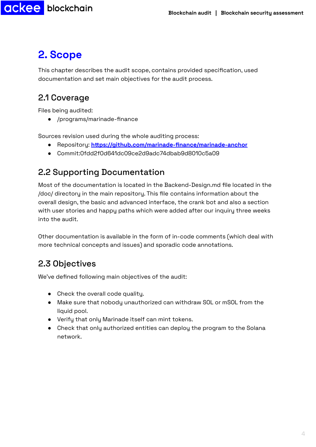## <span id="page-4-0"></span>**2. Scope**

**ackee** blockchain

This chapter describes the audit scope, contains provided specification, used documentation and set main objectives for the audit process.

### 2.1 Coverage

Files being audited:

● /programs/marinade-finance

Sources revision used during the whole auditing process:

- Repository: **https://github.com/marinade-finance/marinade-anchor**
- Commit:0fdd2f0d641dc09ce2d9adc74dbab9d8010c5a09

## 2.2 Supporting Documentation

Most of the documentation is located in the Backend-Design.md file located in the /doc/ directory in the main repository. This file contains information about the overall design, the basic and advanced interface, the crank bot and also a section with user stories and happy paths which were added after our inquiry three weeks into the audit.

Other documentation is available in the form of in-code comments (which deal with more technical concepts and issues) and sporadic code annotations.

## 2.3 Objectives

We've defined following main objectives of the audit:

- Check the overall code quality.
- Make sure that nobody unauthorized can withdraw SOL or mSOL from the liquid pool.
- Verify that only Marinade itself can mint tokens.
- Check that only authorized entities can deploy the program to the Solana network.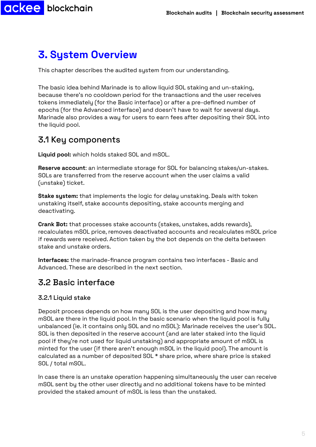

## <span id="page-5-0"></span>**3. System Overview**

This chapter describes the audited system from our understanding.

The basic idea behind Marinade is to allow liquid SOL staking and un-staking, because there's no cooldown period for the transactions and the user receives tokens immediately (for the Basic interface) or after a pre-defined number of epochs (for the Advanced interface) and doesn't have to wait for several days. Marinade also provides a way for users to earn fees after depositing their SOL into the liquid pool.

### 3.1 Key components

**Liquid pool:** which holds staked SOL and mSOL.

**Reserve account**: an intermediate storage for SOL for balancing stakes/un-stakes. SOLs are transferred from the reserve account when the user claims a valid (unstake) ticket.

**Stake system:** that implements the logic for delay unstaking. Deals with token unstaking itself, stake accounts depositing, stake accounts merging and deactivating.

**Crank Bot:** that processes stake accounts (stakes, unstakes, adds rewards), recalculates mSOL price, removes deactivated accounts and recalculates mSOL price if rewards were received. Action taken by the bot depends on the delta between stake and unstake orders.

**Interfaces:** the marinade-finance program contains two interfaces - Basic and Advanced. These are described in the next section.

### 3.2 Basic interface

#### 3.2.1 Liquid stake

Deposit process depends on how many SOL is the user depositing and how many mSOL are there in the liquid pool. In the basic scenario when the liquid pool is fully unbalanced (ie. it contains only SOL and no mSOL): Marinade receives the user's SOL. SOL is then deposited in the reserve account (and are later staked into the liquid pool if they're not used for liquid unstaking) and appropriate amount of mSOL is minted for the user (if there aren't enough mSOL in the liquid pool). The amount is calculated as a number of deposited SOL \* share price, where share price is staked SOL / total mSOL.

In case there is an unstake operation happening simultaneously the user can receive mSOL sent by the other user directly and no additional tokens have to be minted provided the staked amount of mSOL is less than the unstaked.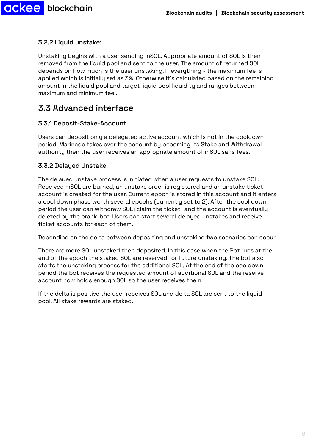

### 3.2.2 Liquid unstake:

Unstaking begins with a user sending mSOL. Appropriate amount of SOL is then removed from the liquid pool and sent to the user. The amount of returned SOL depends on how much is the user unstaking. If everything - the maximum fee is applied which is initially set as 3%. Otherwise it's calculated based on the remaining amount in the liquid pool and target liquid pool liquidity and ranges between maximum and minimum fee..

## 3.3 Advanced interface

#### 3.3.1 Deposit-Stake-Account

Users can deposit only a delegated active account which is not in the cooldown period. Marinade takes over the account by becoming its Stake and Withdrawal authority then the user receives an appropriate amount of mSOL sans fees.

### 3.3.2 Delayed Unstake

The delayed unstake process is initiated when a user requests to unstake SOL. Received mSOL are burned, an unstake order is registered and an unstake ticket account is created for the user. Current epoch is stored in this account and it enters a cool down phase worth several epochs (currently set to 2). After the cool down period the user can withdraw SOL (claim the ticket) and the account is eventually deleted by the crank-bot. Users can start several delayed unstakes and receive ticket accounts for each of them.

Depending on the delta between depositing and unstaking two scenarios can occur.

There are more SOL unstaked then deposited. In this case when the Bot runs at the end of the epoch the staked SOL are reserved for future unstaking. The bot also starts the unstaking process for the additional SOL. At the end of the cooldown period the bot receives the requested amount of additional SOL and the reserve account now holds enough SOL so the user receives them.

If the delta is positive the user receives SOL and delta SOL are sent to the liquid pool. All stake rewards are staked.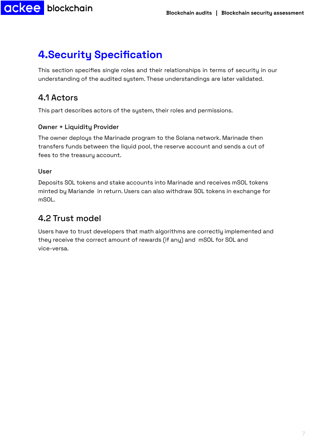## <span id="page-7-0"></span>**4.Security Specification**

This section specifies single roles and their relationships in terms of security in our understanding of the audited system. These understandings are later validated.

### 4.1 Actors

This part describes actors of the system, their roles and permissions.

### Owner + Liquidity Provider

The owner deploys the Marinade program to the Solana network. Marinade then transfers funds between the liquid pool, the reserve account and sends a cut of fees to the treasury account.

#### User

Deposits SOL tokens and stake accounts into Marinade and receives mSOL tokens minted by Mariande in return. Users can also withdraw SOL tokens in exchange for mSOL.

### 4.2 Trust model

Users have to trust developers that math algorithms are correctly implemented and they receive the correct amount of rewards (if any) and mSOL for SOL and vice-versa.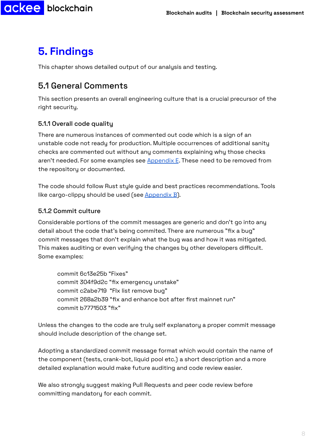## <span id="page-8-0"></span>**5. Findings**

**ackee** blockchain

This chapter shows detailed output of our analysis and testing.

## 5.1 General Comments

This section presents an overall engineering culture that is a crucial precursor of the right security.

### 5.1.1 Overall code quality

There are numerous instances of commented out code which is a sign of an unstable code not ready for production. Multiple occurrences of additional sanity checks are commented out without any comments explaining why those checks aren't needed. For some examples see [Appendix](#page-18-0) E. These need to be removed from the repository or documented.

The code should follow Rust style guide and best practices recommendations. Tools like cargo-clippy should be used (see  $\Delta$ ppendix  $\overline{B}$ ).

#### <span id="page-8-1"></span>5.1.2 Commit culture

Considerable portions of the commit messages are generic and don't go into any detail about the code that's being commited. There are numerous "fix a bug" commit messages that don't explain what the bug was and how it was mitigated. This makes auditing or even verifying the changes by other developers difficult. Some examples:

commit 6c13e25b "Fixes" commit 304f9d2c "fix emergency unstake" commit c2abe719 "FIx list remove bug" commit 268a2b39 "fix and enhance bot after first mainnet run" commit b7771503 "fix"

Unless the changes to the code are truly self explanatory a proper commit message should include description of the change set.

Adopting a standardized commit message format which would contain the name of the component (tests, crank-bot, liquid pool etc.) a short description and a more detailed explanation would make future auditing and code review easier.

We also strongly suggest making Pull Requests and peer code review before committing mandatory for each commit.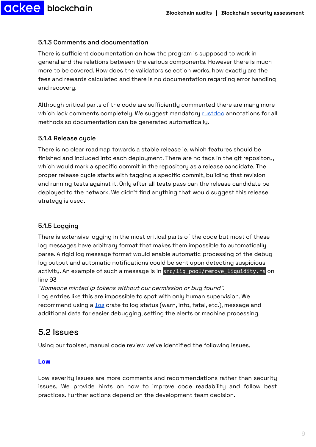<span id="page-9-0"></span>5.1.3 Comments and documentation

There is sufficient documentation on how the program is supposed to work in general and the relations between the various components. However there is much more to be covered. How does the validators selection works, how exactly are the fees and rewards calculated and there is no documentation regarding error handling and recovery.

Although critical parts of the code are sufficiently commented there are many more which lack comments completely. We suggest mandatory [rustdoc](https://doc.rust-lang.org/rustdoc/what-is-rustdoc.html) annotations for all methods so documentation can be generated automatically.

#### 5.1.4 Release cycle

There is no clear roadmap towards a stable release ie. which features should be finished and included into each deployment. There are no tags in the git repository, which would mark a specific commit in the repository as a release candidate. The proper release cycle starts with tagging a specific commit, building that revision and running tests against it. Only after all tests pass can the release candidate be deployed to the network. We didn't find anything that would suggest this release strategy is used.

#### 5.1.5 Logging

There is extensive logging in the most critical parts of the code but most of these log messages have arbitrary format that makes them impossible to automatically parse. A rigid log message format would enable automatic processing of the debug log output and automatic notifications could be sent upon detecting suspicious activity. An example of such a message is in src/liq\_pool/remove\_liquidity.rs on line 93

"Someone minted lp tokens without our permission or bug found". Log entries like this are impossible to spot with only human supervision. We recommend using a [log](https://crates.io/crates/log) crate to log status (warn, info, fatal, etc.), message and additional data for easier debugging, setting the alerts or machine processing.

### 5.2 Issues

Using our toolset, manual code review we've identified the following issues.

#### **Low**

Low severity issues are more comments and recommendations rather than security issues. We provide hints on how to improve code readability and follow best practices. Further actions depend on the development team decision.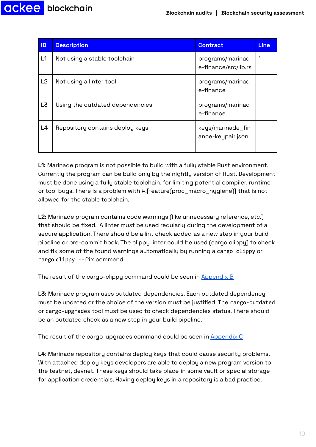

| $\mathbf{D}$   | <b>Description</b>              | <b>Contract</b>                          | <b>Line</b> |
|----------------|---------------------------------|------------------------------------------|-------------|
| L1             | Not using a stable toolchain    | programs/marinad<br>e-finance/src/lib.rs | 1           |
| L <sub>2</sub> | Not using a linter tool         | programs/marinad<br>e-finance            |             |
| L3             | Using the outdated dependencies | programs/marinad<br>e-finance            |             |
| L4             | Repository contains deploy keys | keys/marinade_fin<br>ance-keupair.json   |             |

**L1:** Marinade program is not possible to build with a fully stable Rust environment. Currently the program can be build only by the nightly version of Rust. Development must be done using a fully stable toolchain, for limiting potential compiler, runtime or tool bugs. There is a problem with #![feature(proc\_macro\_hygiene)] that is not allowed for the stable toolchain.

<span id="page-10-0"></span>**L2:** Marinade program contains code warnings (like unnecessary reference, etc.) that should be fixed. A linter must be used regularly during the development of a secure application. There should be a lint check added as a new step in your build pipeline or pre-commit hook. The clippy linter could be used (cargo clippy) to check and fix some of the found warnings automatically by running a cargo clippy or cargo clippy --fix command.

The result of the cargo-clippy command could be seen in [Appendix](#page-15-0) B

<span id="page-10-1"></span>**L3:** Marinade program uses outdated dependencies. Each outdated dependency must be updated or the choice of the version must be justified. The cargo-outdated or cargo-upgrades tool must be used to check dependencies status. There should be an outdated check as a new step in your build pipeline.

The result of the cargo-upgrades command could be seen in [Appendix](#page-16-0) C

**L4**: Marinade repository contains deploy keys that could cause security problems. With attached deploy keys developers are able to deploy a new program version to the testnet, devnet. These keys should take place in some vault or special storage for application credentials. Having deploy keys in a repository is a bad practice.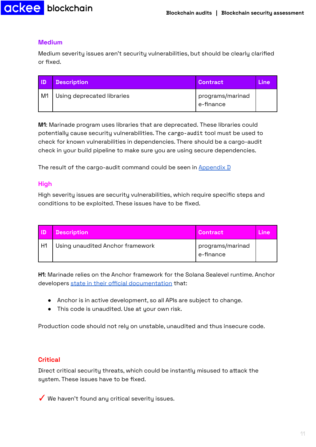#### **Medium**

Medium severity issues aren't security vulnerabilities, but should be clearly clarified or fixed.

| חו ו | <b>Description</b>         | Contract                      | Line |
|------|----------------------------|-------------------------------|------|
| M1   | Using deprecated libraries | programs/marinad<br>e-finance |      |

<span id="page-11-1"></span>**M1**: Marinade program uses libraries that are deprecated. These libraries could potentially cause security vulnerabilities. The cargo-audit tool must be used to check for known vulnerabilities in dependencies. There should be a cargo-audit check in your build pipeline to make sure you are using secure dependencies.

The result of the cargo-audit command could be seen in  $\Delta p$  and  $\Delta p$ 

#### **High**

High severity issues are security vulnerabilities, which require specific steps and conditions to be exploited. These issues have to be fixed.

| חו | <b>Description</b>               | <i><b>Contract</b>i</i>       | Line |
|----|----------------------------------|-------------------------------|------|
| H1 | Using unaudited Anchor framework | programs/marinad<br>e-finance |      |

<span id="page-11-0"></span>**H1**: Marinade relies on the Anchor framework for the Solana Sealevel runtime. Anchor developers state in their official [documentation](https://github.com/project-serum/anchor#note) that:

- Anchor is in active development, so all APIs are subject to change.
- This code is unaudited. Use at your own risk.

Production code should not rely on unstable, unaudited and thus insecure code.

#### **Critical**

Direct critical security threats, which could be instantly misused to attack the system. These issues have to be fixed.

✓ We haven't found any critical severity issues.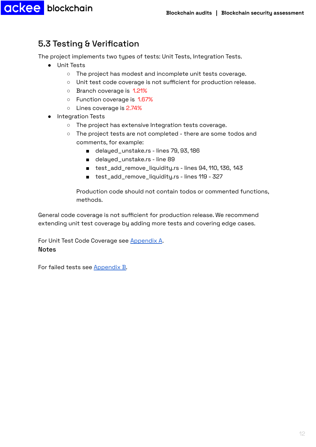### <span id="page-12-0"></span>5.3 Testing & Verification

The project implements two types of tests: Unit Tests, Integration Tests.

- Unit Tests
	- The project has modest and incomplete unit tests coverage.
	- Unit test code coverage is not sufficient for production release.
	- Branch coverage is 1.21%
	- Function coverage is 1.67%
	- Lines coverage is 2.74%
- Integration Tests
	- The project has extensive Integration tests coverage.
	- The project tests are not completed there are some todos and comments, for example:
		- delayed\_unstake.rs lines 79, 93, 186
		- delayed\_unstake.rs line 89
		- test\_add\_remove\_liquidity.rs lines 94, 110, 136, 143
		- test\_add\_remove\_liquidity.rs lines 119 327

Production code should not contain todos or commented functions, methods.

General code coverage is not sufficient for production release. We recommend extending unit test coverage by adding more tests and covering edge cases.

For Unit Test Code Coverage see [Appendix](#page-14-0) A. **Notes** 

For failed tests see [Appendix](#page-15-0) B.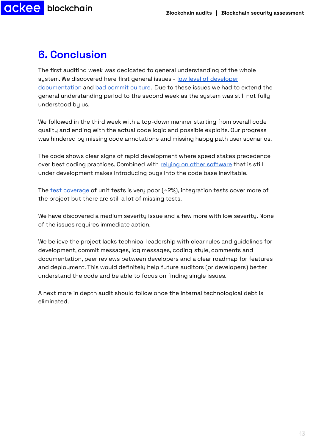## <span id="page-13-0"></span>**6. Conclusion**

The first auditing week was dedicated to general understanding of the whole system. We discovered here first general issues - low level of [developer](#page-9-0) [documentation](#page-9-0) and bad [commit](#page-8-1) culture. Due to these issues we had to extend the general understanding period to the second week as the system was still not fully understood by us.

We followed in the third week with a top-down manner starting from overall code quality and ending with the actual code logic and possible exploits. Our progress was hindered by missing code annotations and missing happy path user scenarios.

The code shows clear signs of rapid development where speed stakes precedence over best coding practices. Combined with relying on other [software](#page-11-0) that is still under development makes introducing bugs into the code base inevitable.

The test [coverage](#page-12-0) of unit tests is very poor  $(*2\%)$ , integration tests cover more of the project but there are still a lot of missing tests.

We have discovered a medium severity issue and a few more with low severity. None of the issues requires immediate action.

We believe the project lacks technical leadership with clear rules and guidelines for development, commit messages, log messages, coding style, comments and documentation, peer reviews between developers and a clear roadmap for features and deployment. This would definitely help future auditors (or developers) better understand the code and be able to focus on finding single issues.

A next more in depth audit should follow once the internal technological debt is eliminated.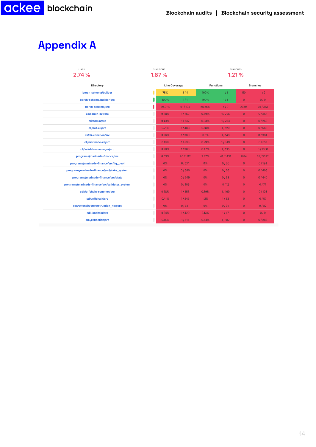## <span id="page-14-0"></span>**Appendix A**

| LINES<br>2.74%                                 | <b>FUNCTIONS</b><br>1.67% |                      |         | <b>BRANCHES</b><br>1.21% |         |                 |          |
|------------------------------------------------|---------------------------|----------------------|---------|--------------------------|---------|-----------------|----------|
| Directory                                      |                           | <b>Line Coverage</b> |         | <b>Functions</b>         |         | <b>Branches</b> |          |
| borsh-schema/builder                           |                           | 75%                  | 3/4     | 100%                     | 1/1     | 50              | 1/2      |
| borsh-schema/builder/src                       |                           | 100%                 | 1/1     | 100%                     | 1/1     | $\overline{0}$  | 0/0      |
| borsh-schema/src                               |                           | 46.91%               | 91/194  | 55.56%                   | 5/9     | 23.96           | 75 / 313 |
| cli/admin-init/src                             |                           | 0.38%                | 1/262   | 0.49%                    | 1/205   | $\overline{0}$  | 0/357    |
| cli/admin/src                                  |                           | 0.43%                | 1/232   | 0.38%                    | 1/263   | $\overline{0}$  | 0/260    |
| cli/bot-cli/src                                |                           | 0.21%                | 1/483   | 0.78%                    | 1/129   | $\overline{0}$  | 0/563    |
| cli/cli-common/src                             |                           | 0.26%                | 1/389   | 0.7%                     | 1/143   | $\overline{0}$  | 0/384    |
| cli/marinade-cli/src                           |                           | 0.19%                | 1/533   | 0.29%                    | 1/349   | $\overline{0}$  | 0/518    |
| cli/validator-manager/src                      |                           | 0.28%                | 1/363   | 0.47%                    | 1/215   | $\overline{0}$  | 0/1050   |
| programs/marinade-finance/src                  |                           | 8.63%                | 96/1112 | 2.87%                    | 41/1431 | 0.84            | 31/3692  |
| programs/marinade-finance/src/liq_pool         |                           | 0%                   | 0/271   | $0\%$                    | 0/36    | $\overline{0}$  | 0/194    |
| programs/marinade-finance/src/stake_system     |                           | 0%                   | 0/680   | 0%                       | 0/36    | $\overline{0}$  | 0/405    |
| programs/marinade-finance/src/state            |                           | 0%                   | 0/649   | $0\%$                    | 0/68    | $\overline{0}$  | 0/440    |
| programs/marinade-finance/src/validator_system |                           | 0%                   | 0/108   | $0\%$                    | 0/12    | $\overline{0}$  | 0/77     |
| sdk/offchain-common/src                        |                           | 0.28%                | 1/353   | 0.59%                    | 1/169   | $\overline{0}$  | 0/125    |
| sdk/offchain/src                               |                           | 0.41%                | 1/245   | 1.2%                     | 1/83    | $\overline{0}$  | 0/57     |
| sdk/offchain/src/instruction_helpers           |                           | 0%                   | 0/331   | $0\%$                    | 0/94    | $\overline{0}$  | 0/82     |
| sdk/onchain/src                                |                           | 0.24%                | 1/420   | 2.13%                    | 1/47    | $\overline{0}$  | 0/0      |
| sdk/reflection/src                             |                           | 0.14%                | 1/715   | 0.53%                    | 1/187   | $\overline{0}$  | 0/288    |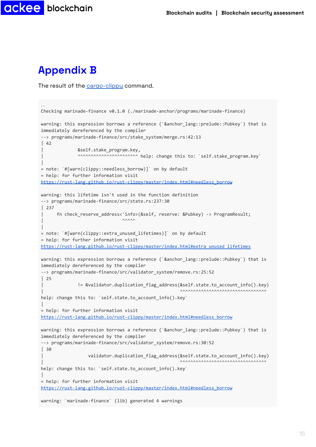

## <span id="page-15-0"></span>**Appendix B**

**CKEE** blockchain

The result of the [cargo-clippy](#page-10-0) command.

```
…
Checking marinade-finance v0.1.0 (./marinade-anchor/programs/marinade-finance)
warning: this expression borrows a reference (`&anchor_lang::prelude::Pubkey`) that is
immediately dereferenced by the compiler
--> programs/marinade-finance/src/stake_system/merge.rs:42:13
\vert 42
              | &self.stake_program.key,
              AAAAAAAAAAAAAAAAAAAAAAA help: change this to: `self.stake program.key`
|
= note: `#[warn(clippy::needless_borrow)]` on by default
= help: for further information visit
https://rust-lang.github.io/rust-clippy/master/index.html#needless_borrow
warning: this lifetime isn't used in the function definition
--> programs/marinade-finance/src/state.rs:237:30
| 237
      | fn check_reserve_address<'info>(&self, reserve: &Pubkey) -> ProgramResult;
| ^^^^^
|
= note: `#[warn(clippy::extra_unused_lifetimes)]` on by default
= help: for further information visit
https://rust-lang.github.io/rust-clippy/master/index.html#extra_unused_lifetimes
warning: this expression borrows a reference (`&anchor lang::prelude::Pubkey`) that is
immediately dereferenced by the compiler
--> programs/marinade-finance/src/validator_system/remove.rs:25:52
| 25
              | != &validator.duplication_flag_address(&self.state.to_account_info().key)
                                                      \mathbf{X}_{\mathcal{N}}\mathbf{X}_{\mathcal{N}}\mathbf{X}_{\mathcal{N}}help: change this to: `self.state.to_account_info().key`
|
= help: for further information visit
https://rust-lang.github.io/rust-clippy/master/index.html#needless_borrow
warning: this expression borrows a reference (`&anchor lang::prelude::Pubkey`) that is
immediately dereferenced by the compiler
--> programs/marinade-finance/src/validator_system/remove.rs:30:52
| 30
                  | validator.duplication_flag_address(&self.state.to_account_info().key)
                                                      | ^^^^^^^^^^^^^^^^^^^^^^^^^^^^^^^^^
help: change this to: `self.state.to_account_info().key`
|
= help: for further information visit
https://rust-lang.github.io/rust-clippy/master/index.html#needless_borrow
warning: `marinade-finance` (lib) generated 4 warnings
```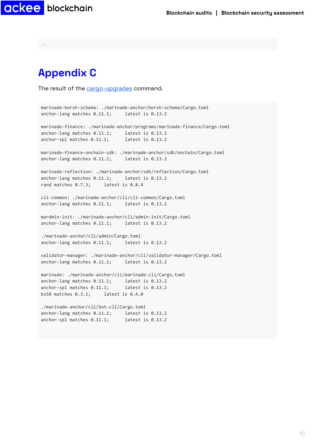**Blockchain audits | Blockchain security [assessment](https://ackeeblockchain.com)**

**ackee** blockchain

**…**

## <span id="page-16-0"></span>**Appendix C**

The result of the [cargo-upgrades](#page-10-1) command.

```
marinade-borsh-schema: ./marinade-anchor/borsh-schema/Cargo.toml
anchor-lang matches 0.11.1; latest is 0.13.2
marinade-finance: ./marinade-anchor/programs/marinade-finance/Cargo.toml
anchor-lang matches 0.11.1; latest is 0.13.2
anchor-spl matches 0.11.1; latest is 0.13.2
marinade-finance-onchain-sdk: ./marinade-anchor/sdk/onchain/Cargo.toml
anchor-lang matches 0.11.1; latest is 0.13.2
marinade-reflection: ./marinade-anchor/sdk/reflection/Cargo.toml
anchor-lang matches 0.11.1; latest is 0.13.2
rand matches 0.7.3; latest is 0.8.4
cli-common: ./marinade-anchor/cli/cli-common/Cargo.toml
anchor-lang matches 0.11.1; latest is 0.13.2
mardmin-init: ./marinade-anchor/cli/admin-init/Cargo.toml
anchor-lang matches 0.11.1; latest is 0.13.2
./marinade-anchor/cli/admin/Cargo.toml
anchor-lang matches 0.11.1; latest is 0.13.2
validator-manager: ./marinade-anchor/cli/validator-manager/Cargo.toml
anchor-lang matches 0.11.1; latest is 0.13.2
marinade: ./marinade-anchor/cli/marinade-cli/Cargo.toml
anchor-lang matches 0.11.1; latest is 0.13.2
anchor-spl matches 0.11.1; latest is 0.13.2
bs58 matches 0.3.1; latest is 0.4.0
./marinade-anchor/cli/bot-cli/Cargo.toml
anchor-lang matches 0.11.1; latest is 0.13.2
anchor-spl matches 0.11.1; latest is 0.13.2
```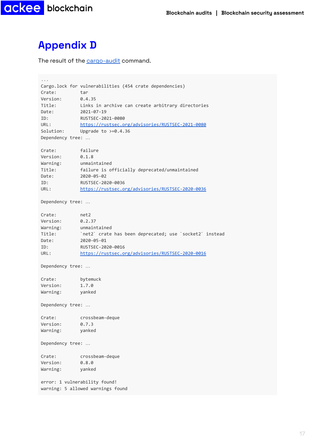

## <span id="page-17-0"></span>**Appendix D**

The result of the [cargo-audit](#page-11-1) command.

```
...
Cargo.lock for vulnerabilities (454 crate dependencies)
Crate: tar
Version: 0.4.35
Title: Links in archive can create arbitrary directories
Date: 2021-07-19
ID: RUSTSEC-2021-0080
URL: https://rustsec.org/advisories/RUSTSEC-2021-0080
Solution: Upgrade to >=0.4.36
Dependency tree: …
Crate: failure
Version: 0.1.8
Warning: unmaintained
Title: failure is officially deprecated/unmaintained
Date: 2020-05-02
ID: RUSTSEC-2020-0036
URL: https://rustsec.org/advisories/RUSTSEC-2020-0036
Dependency tree: …
Crate: net2
Version: 0.2.37
Warning: unmaintained
           `net2` crate has been deprecated; use `socket2` instead
Date: 2020-05-01
ID: RUSTSEC-2020-0016
URL: https://rustsec.org/advisories/RUSTSEC-2020-0016
Dependency tree: …
Crate: bytemuck
Version: 1.7.0
Warning: yanked
Dependency tree: …
Crate: crossbeam-deque
Version: 0.7.3
Warning: yanked
Dependency tree: …
Crate: crossbeam-deque
Version: 0.8.0
Warning: yanked
error: 1 vulnerability found!
warning: 5 allowed warnings found
```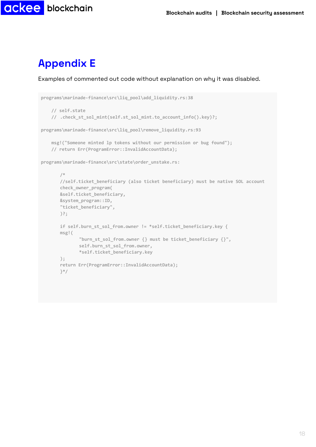

## <span id="page-18-0"></span>**Appendix E**

Examples of commented out code without explanation on why it was disabled.

```
programs\marinade-finance\src\liq_pool\add_liquidity.rs:38
   // self.state
   // .check_st_sol_mint(self.st_sol_mint.to_account_info().key)?;
programs\marinade-finance\src\liq_pool\remove_liquidity.rs:93
   msg!("Someone minted lp tokens without our permission or bug found");
   // return Err(ProgramError::InvalidAccountData);
programs\marinade-finance\src\state\order_unstake.rs:
       /*
       //self.ticket_beneficiary (also ticket beneficiary) must be native SOL account
       check_owner_program(
       &self.ticket_beneficiary,
       &system_program::ID,
       "ticket_beneficiary",
       )?;
       if self.burn_st_sol_from.owner != *self.ticket_beneficiary.key {
       msg!(
              "burn_st_sol_from.owner {} must be ticket_beneficiary {}",
              self.burn_st_sol_from.owner,
              *self.ticket_beneficiary.key
       );
       return Err(ProgramError::InvalidAccountData);
       }*/
```